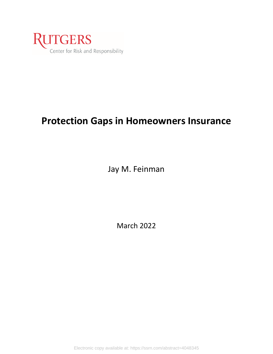

# **Protection Gaps in Homeowners Insurance**

Jay M. Feinman

March 2022

Electronic copy available at: https://ssrn.com/abstract=4048345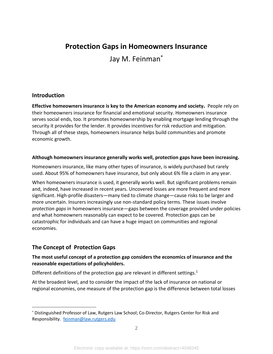# **Protection Gaps in Homeowners Insurance**

Jay M. Feinman\*

## **Introduction**

**Effective homeowners insurance is key to the American economy and society.** People rely on their homeowners insurance for financial and emotional security. Homeowners insurance serves social ends, too. It promotes homeownership by enabling mortgage lending through the security it provides for the lender. It provides incentives for risk reduction and mitigation. Through all of these steps, homeowners insurance helps build communities and promote economic growth.

#### **Although homeowners insurance generally works well, protection gaps have been increasing.**

Homeowners insurance, like many other types of insurance, is widely purchased but rarely used. About 95% of homeowners have insurance, but only about 6% file a claim in any year.

When homeowners insurance is used, it generally works well. But significant problems remain and, indeed, have increased in recent years. Uncovered losses are more frequent and more significant. High-profile disasters—many tied to climate change—cause risks to be larger and more uncertain. Insurers increasingly use non-standard policy terms. These issues involve *protection gaps* in homeowners insurance—gaps between the coverage provided under policies and what homeowners reasonably can expect to be covered. Protection gaps can be catastrophic for individuals and can have a huge impact on communities and regional economies.

# **The Concept of Protection Gaps**

#### **The most useful concept of a protection gap considers the economics of insurance and the reasonable expectations of policyholders.**

Different definitions of the protection gap are relevant in different settings.<sup>1</sup>

At the broadest level, and to consider the impact of the lack of insurance on national or regional economies, one measure of the protection gap is the difference between total losses

<sup>\*</sup> Distinguished Professor of Law, Rutgers Law School; Co-Director, Rutgers Center for Risk and Responsibility. [feinman@law.rutgers.edu](mailto:feinman@law.rutgers.edu)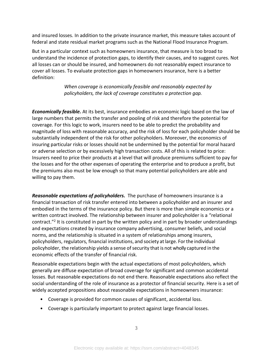and insured losses. In addition to the private insurance market, this measure takes account of federal and state residual market programs such as the National Flood Insurance Program.

But in a particular context such as homeowners insurance, that measure is too broad to understand the incidence of protection gaps, to identify their causes, and to suggest cures. Not all losses can or should be insured, and homeowners do not reasonably expect insurance to cover all losses. To evaluate protection gaps in homeowners insurance, here is a better definition:

> *When coverage is economically feasible and reasonably expected by policyholders, the lack of coverage constitutes a protection gap.*

*Economically feasible.* At its best, insurance embodies an economic logic based on the law of large numbers that permits the transfer and pooling of risk and therefore the potential for coverage. For this logic to work, insurers need to be able to predict the probability and magnitude of loss with reasonable accuracy, and the risk of loss for each policyholder should be substantially independent of the risk for other policyholders. Moreover, the economics of insuring particular risks or losses should not be undermined by the potential for moral hazard or adverse selection or by excessively high transaction costs. All of this is related to price: Insurers need to price their products at a level that will produce premiums sufficient to pay for the losses and for the other expenses of operating the enterprise and to produce a profit, but the premiums also must be low enough so that many potential policyholders are able and willing to pay them.

*Reasonable expectations of policyholders.* The purchase of homeowners insurance is a financial transaction of risk transfer entered into between a policyholder and an insurer and embodied in the terms of the insurance policy. But there is more than simple economics or a written contract involved. The relationship between insurer and policyholder is a "relational contract."<sup>2</sup> It is constituted in part by the written policy and in part by broader understandings and expectations created by insurance company advertising, consumer beliefs, and social norms, and the relationship is situated in a system of relationships among insurers, policyholders, regulators, financial institutions, and society atlarge. Forthe individual policyholder, the relationship yields a sense of security that is not wholly captured in the economic effects of the transfer of financial risk.

Reasonable expectations begin with the actual expectations of most policyholders, which generally are diffuse expectation of broad coverage for significant and common accidental losses. But reasonable expectations do not end there. Reasonable expectations also reflect the social understanding of the role of insurance as a protector of financial security. Here is a set of widely accepted propositions about reasonable expectations in homeowners insurance:

- Coverage is provided for common causes of significant, accidental loss.
- Coverage is particularly important to protect against large financial losses.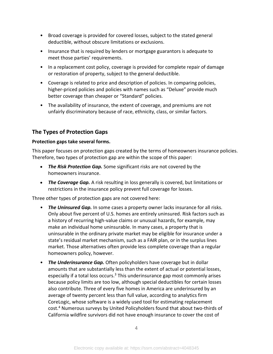- Broad coverage is provided for covered losses, subject to the stated general deductible, without obscure limitations or exclusions.
- Insurance that is required by lenders or mortgage guarantors is adequate to meet those parties' requirements.
- In a replacement cost policy, coverage is provided for complete repair of damage or restoration of property, subject to the general deductible.
- Coverage is related to price and description of policies. In comparing policies, higher-priced policies and policies with names such as "Deluxe" provide much better coverage than cheaper or "Standard" policies.
- The availability of insurance, the extent of coverage, and premiums are not unfairly discriminatory because of race, ethnicity, class, or similar factors.

# **The Types of Protection Gaps**

#### **Protection gaps take several forms.**

This paper focuses on protection gaps created by the terms of homeowners insurance policies. Therefore, two types of protection gap are within the scope of this paper:

- *The Risk Protection Gap.* Some significant risks are not covered by the homeowners insurance.
- *The Coverage Gap.* A risk resulting in loss generally is covered, but limitations or restrictions in the insurance policy prevent full coverage for losses.

Three other types of protection gaps are not covered here:

- *The Uninsured Gap.* In some cases a property owner lacks insurance for all risks. Only about five percent of U.S. homes are entirely uninsured. Risk factors such as a history of recurring high-value claims or unusual hazards, for example, may make an individual home uninsurable. In many cases, a property that is uninsurable in the ordinary private market may be eligible for insurance under a state's residual market mechanism, such as a FAIR plan, or in the surplus lines market. Those alternatives often provide less complete coverage than a regular homeowners policy, however.
- *The Underinsurance Gap.* Often policyholders have coverage but in dollar amounts that are substantially less than the extent of actual or potential losses, especially if a total loss occurs.<sup>3</sup> This underinsurance gap most commonly arises because policy limits are too low, although special deductibles for certain losses also contribute. Three of every five homes in America are underinsured by an average of twenty percent less than full value, according to analytics firm CoreLogic, whose software is a widely used tool for estimating replacement cost.<sup>4</sup> Numerous surveys by United Policyholders found that about two-thirds of California wildfire survivors did not have enough insurance to cover the cost of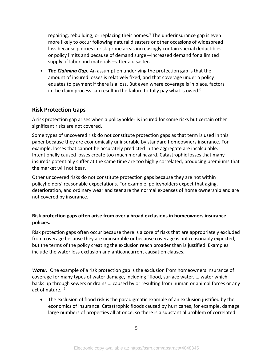repairing, rebuilding, or replacing their homes.<sup>5</sup> The underinsurance gap is even more likely to occur following natural disasters or other occasions of widespread loss because policies in risk-prone areas increasingly contain special deductibles or policy limits and because of demand surge—increased demand for a limited supply of labor and materials—after a disaster.

• *The Claiming Gap.* An assumption underlying the protection gap is that the amount of insured losses is relatively fixed, and that coverage under a policy equates to payment if there is a loss. But even where coverage is in place, factors in the claim process can result in the failure to fully pay what is owed.<sup>6</sup>

## **Risk Protection Gaps**

A risk protection gap arises when a policyholder is insured for some risks but certain other significant risks are not covered.

Some types of uncovered risk do not constitute protection gaps as that term is used in this paper because they are economically uninsurable by standard homeowners insurance. For example, losses that cannot be accurately predicted in the aggregate are incalculable. Intentionally caused losses create too much moral hazard. Catastrophic losses that many insureds potentially suffer at the same time are too highly correlated, producing premiums that the market will not bear.

Other uncovered risks do not constitute protection gaps because they are not within policyholders' reasonable expectations. For example, policyholders expect that aging, deterioration, and ordinary wear and tear are the normal expenses of home ownership and are not covered by insurance.

#### **Risk protection gaps often arise from overly broad exclusions in homeowners insurance policies.**

Risk protection gaps often occur because there is a core of risks that are appropriately excluded from coverage because they are uninsurable or because coverage is not reasonably expected, but the terms of the policy creating the exclusion reach broader than is justified. Examples include the water loss exclusion and anticoncurrent causation clauses.

**Water.** One example of a risk protection gap is the exclusion from homeowners insurance of coverage for many types of water damage, including "flood, surface water, … water which backs up through sewers or drains … caused by or resulting from human or animal forces or any act of nature." 7

• The exclusion of flood risk is the paradigmatic example of an exclusion justified by the economics of insurance. Catastrophic floods caused by hurricanes, for example, damage large numbers of properties all at once, so there is a substantial problem of correlated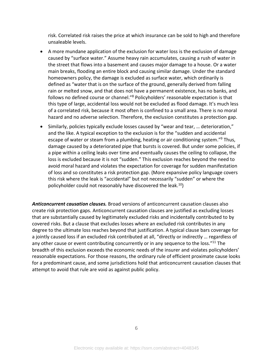risk. Correlated risk raises the price at which insurance can be sold to high and therefore unsaleable levels.

- A more mundane application of the exclusion for water loss is the exclusion of damage caused by "surface water." Assume heavy rain accumulates, causing a rush of water in the street that flows into a basement and causes major damage to a house. Or a water main breaks, flooding an entire block and causing similar damage. Under the standard homeowners policy, the damage is excluded as surface water, which ordinarily is defined as "water that is on the surface of the ground, generally derived from falling rain or melted snow, and that does not have a permanent existence, has no banks, and follows no defined course or channel.<sup>"8</sup> Policyholders' reasonable expectation is that this type of large, accidental loss would not be excluded as flood damage. It's much less of a correlated risk, because it most often is confined to a small area. There is no moral hazard and no adverse selection. Therefore, the exclusion constitutes a protection gap.
- Similarly, policies typically exclude losses caused by "wear and tear, … deterioration," and the like. A typical exception to the exclusion is for the "sudden and accidental escape of water or steam from a plumbing, heating or air conditioning system."<sup>9</sup> Thus, damage caused by a deteriorated pipe that bursts is covered. But under some policies, if a pipe within a ceiling leaks over time and eventually causes the ceiling to collapse, the loss is excluded because it is not "sudden." This exclusion reaches beyond the need to avoid moral hazard and violates the expectation for coverage for sudden manifestation of loss and so constitutes a risk protection gap. (More expansive policy language covers this risk where the leak is "accidental" but not necessarily "sudden" or where the policyholder could not reasonably have discovered the leak.<sup>10</sup>)

*Anticoncurrent causation clauses.* Broad versions of anticoncurrent causation clauses also create risk protection gaps. Anticoncurrent causation clauses are justified as excluding losses that are substantially caused by legitimately excluded risks and incidentally contributed to by covered risks. But a clause that excludes losses where an excluded risk contributes in any degree to the ultimate loss reaches beyond that justification. A typical clause bars coverage for a jointly caused loss if an excluded risk contributed at all, "directly or indirectly … regardless of any other cause or event contributing concurrently or in any sequence to the loss."<sup>11</sup> The breadth of this exclusion exceeds the economic needs of the insurer and violates policyholders' reasonable expectations. For those reasons, the ordinary rule of efficient proximate cause looks for a predominant cause, and some jurisdictions hold that anticoncurrent causation clauses that attempt to avoid that rule are void as against public policy.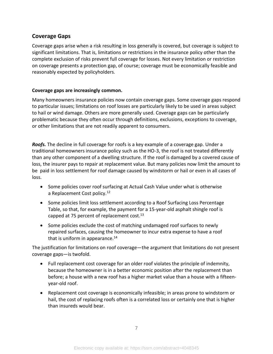# **Coverage Gaps**

Coverage gaps arise when a risk resulting in loss generally is covered, but coverage is subject to significant limitations. That is, limitations or restrictions in the insurance policy other than the complete exclusion of risks prevent full coverage for losses. Not every limitation or restriction on coverage presents a protection gap, of course; coverage must be economically feasible and reasonably expected by policyholders.

#### **Coverage gaps are increasingly common.**

Many homeowners insurance policies now contain coverage gaps. Some coverage gaps respond to particular issues; limitations on roof losses are particularly likely to be used in areas subject to hail or wind damage. Others are more generally used. Coverage gaps can be particularly problematic because they often occur through definitions, exclusions, exceptions to coverage, or other limitations that are not readily apparent to consumers.

*Roofs.* The decline in full coverage for roofs is a key example of a coverage gap. Under a traditional homeowners insurance policy such as the HO-3, the roof is not treated differently than any other component of a dwelling structure. If the roof is damaged by a covered cause of loss, the insurer pays to repair at replacement value. But many policies now limit the amount to be paid in loss settlement for roof damage caused by windstorm or hail or even in all cases of loss.

- Some policies cover roof surfacing at Actual Cash Value under what is otherwise a Replacement Cost policy.<sup>12</sup>
- Some policies limit loss settlement according to a Roof Surfacing Loss Percentage Table, so that, for example, the payment for a 15-year-old asphalt shingle roof is capped at 75 percent of replacement cost. $^{13}$
- Some policies exclude the cost of matching undamaged roof surfaces to newly repaired surfaces, causing the homeowner to incur extra expense to have a roof that is uniform in appearance.<sup>14</sup>

The justification for limitations on roof coverage—the argument that limitations do not present coverage gaps—is twofold.

- Full replacement cost coverage for an older roof violates the principle of indemnity, because the homeowner is in a better economic position after the replacement than before; a house with a new roof has a higher market value than a house with a fifteenyear-old roof.
- Replacement cost coverage is economically infeasible; in areas prone to windstorm or hail, the cost of replacing roofs often is a correlated loss or certainly one that is higher than insureds would bear.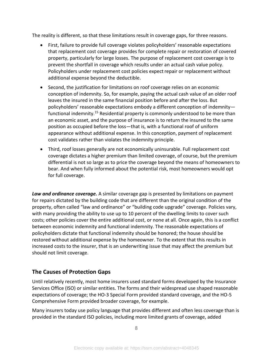The reality is different, so that these limitations result in coverage gaps, for three reasons.

- First, failure to provide full coverage violates policyholders' reasonable expectations that replacement cost coverage provides for complete repair or restoration of covered property, particularly for large losses. The purpose of replacement cost coverage is to prevent the shortfall in coverage which results under an actual cash value policy. Policyholders under replacement cost policies expect repair or replacement without additional expense beyond the deductible.
- Second, the justification for limitations on roof coverage relies on an economic conception of indemnity. So, for example, paying the actual cash value of an older roof leaves the insured in the same financial position before and after the loss. But policyholders' reasonable expectations embody a different conception of indemnity functional indemnity.<sup>15</sup> Residential property is commonly understood to be more than an economic asset, and the purpose of insurance is to return the insured to the same position as occupied before the loss—that is, with a functional roof of uniform appearance without additional expense. In this conception, payment of replacement cost validates rather than violates the indemnity principle.
- Third, roof losses generally are not economically uninsurable. Full replacement cost coverage dictates a higher premium than limited coverage, of course, but the premium differential is not so large as to price the coverage beyond the means of homeowners to bear. And when fully informed about the potential risk, most homeowners would opt for full coverage.

*Law and ordinance coverage.* A similar coverage gap is presented by limitations on payment for repairs dictated by the building code that are different than the original condition of the property, often called "law and ordinance" or "building code upgrade" coverage. Policies vary, with many providing the ability to use up to 10 percent of the dwelling limits to cover such costs; other policies cover the entire additional cost, or none at all. Once again, this is a conflict between economic indemnity and functional indemnity. The reasonable expectations of policyholders dictate that functional indemnity should be honored; the house should be restored without additional expense by the homeowner. To the extent that this results in increased costs to the insurer, that is an underwriting issue that may affect the premium but should not limit coverage.

# **The Causes of Protection Gaps**

Until relatively recently, most home insurers used standard forms developed by the Insurance Services Office (ISO) or similar entities. The forms and their widespread use shaped reasonable expectations of coverage; the HO-3 Special Form provided standard coverage, and the HO-5 Comprehensive Form provided broader coverage, for example.

Many insurers today use policy language that provides different and often less coverage than is provided in the standard ISO policies, including more limited grants of coverage, added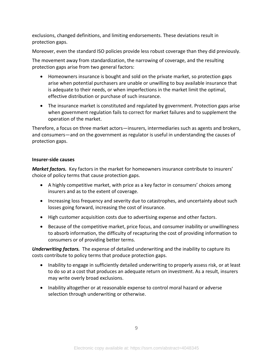exclusions, changed definitions, and limiting endorsements. These deviations result in protection gaps.

Moreover, even the standard ISO policies provide less robust coverage than they did previously.

The movement away from standardization, the narrowing of coverage, and the resulting protection gaps arise from two general factors:

- Homeowners insurance is bought and sold on the private market, so protection gaps arise when potential purchasers are unable or unwilling to buy available insurance that is adequate to their needs, or when imperfections in the market limit the optimal, effective distribution or purchase of such insurance.
- The insurance market is constituted and regulated by government. Protection gaps arise when government regulation fails to correct for market failures and to supplement the operation of the market.

Therefore, a focus on three market actors—insurers, intermediaries such as agents and brokers, and consumers—and on the government as regulator is useful in understanding the causes of protection gaps.

#### **Insurer-side causes**

*Market factors.* Key factors in the market for homeowners insurance contribute to insurers' choice of policy terms that cause protection gaps.

- A highly competitive market, with price as a key factor in consumers' choices among insurers and as to the extent of coverage.
- Increasing loss frequency and severity due to catastrophes, and uncertainty about such losses going forward, increasing the cost of insurance.
- High customer acquisition costs due to advertising expense and other factors.
- Because of the competitive market, price focus, and consumer inability or unwillingness to absorb information, the difficulty of recapturing the cost of providing information to consumers or of providing better terms.

*Underwriting factors.* The expense of detailed underwriting and the inability to capture its costs contribute to policy terms that produce protection gaps.

- Inability to engage in sufficiently detailed underwriting to properly assess risk, or at least to do so at a cost that produces an adequate return on investment. As a result, insurers may write overly broad exclusions.
- Inability altogether or at reasonable expense to control moral hazard or adverse selection through underwriting or otherwise.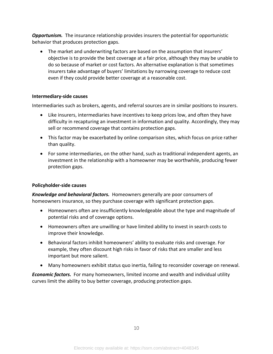*Opportunism.* The insurance relationship provides insurers the potential for opportunistic behavior that produces protection gaps.

• The market and underwriting factors are based on the assumption that insurers' objective is to provide the best coverage at a fair price, although they may be unable to do so because of market or cost factors. An alternative explanation is that sometimes insurers take advantage of buyers' limitations by narrowing coverage to reduce cost even if they could provide better coverage at a reasonable cost.

#### **Intermediary-side causes**

Intermediaries such as brokers, agents, and referral sources are in similar positions to insurers.

- Like insurers, intermediaries have incentives to keep prices low, and often they have difficulty in recapturing an investment in information and quality. Accordingly, they may sell or recommend coverage that contains protection gaps.
- This factor may be exacerbated by online comparison sites, which focus on price rather than quality.
- For some intermediaries, on the other hand, such as traditional independent agents, an investment in the relationship with a homeowner may be worthwhile, producing fewer protection gaps.

#### **Policyholder-side causes**

*Knowledge and behavioral factors.* Homeowners generally are poor consumers of homeowners insurance, so they purchase coverage with significant protection gaps.

- Homeowners often are insufficiently knowledgeable about the type and magnitude of potential risks and of coverage options.
- Homeowners often are unwilling or have limited ability to invest in search costs to improve their knowledge.
- Behavioral factors inhibit homeowners' ability to evaluate risks and coverage. For example, they often discount high risks in favor of risks that are smaller and less important but more salient.
- Many homeowners exhibit status quo inertia, failing to reconsider coverage on renewal.

*Economic factors.* For many homeowners, limited income and wealth and individual utility curves limit the ability to buy better coverage, producing protection gaps.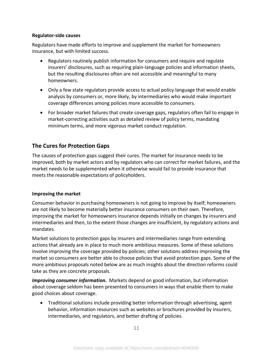#### **Regulator-side causes**

Regulators have made efforts to improve and supplement the market for homeowners insurance, but with limited success.

- Regulators routinely publish information for consumers and require and regulate insurers' disclosures, such as requiring plain-language policies and information sheets, but the resulting disclosures often are not accessible and meaningful to many homeowners.
- Only a few state regulators provide access to actual policy language that would enable analysis by consumers or, more likely, by intermediaries who would make important coverage differences among policies more accessible to consumers.
- For broader market failures that create coverage gaps, regulators often fail to engage in market-correcting activities such as detailed review of policy terms, mandating minimum terms, and more vigorous market conduct regulation.

# **The Cures for Protection Gaps**

The causes of protection gaps suggest their cures. The market for insurance needs to be improved, both by market actors and by regulators who can correct for market failures, and the market needs to be supplemented when it otherwise would fail to provide insurance that meets the reasonable expectations of policyholders.

#### **Improving the market**

Consumer behavior in purchasing homeowners is not going to improve by itself; homeowners are not likely to become materially better insurance consumers on their own. Therefore, improving the market for homeowners insurance depends initially on changes by insurers and intermediaries and then, to the extent those changes are insufficient, by regulatory actions and mandates.

Market solutions to protection gaps by insurers and intermediaries range from extending actions that already are in place to much more ambitious measures. Some of these solutions involve improving the coverage provided by policies; other solutions address improving the market so consumers are better able to choose policies that avoid protection gaps. Some of the more ambitious proposals noted below are as much insights about the direction reforms could take as they are concrete proposals.

*Improving consumer information.* Markets depend on good information, but information about coverage seldom has been presented to consumers in ways that enable them to make good choices about coverage.

• Traditional solutions include providing better information through advertising, agent behavior, information resources such as websites or brochures provided by insurers, intermediaries, and regulators, and better drafting of policies.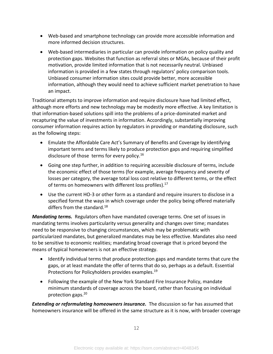- Web-based and smartphone technology can provide more accessible information and more informed decision structures.
- Web-based intermediaries in particular can provide information on policy quality and protection gaps. Websites that function as referral sites or MGAs, because of their profit motivation, provide limited information that is not necessarily neutral. Unbiased information is provided in a few states through regulators' policy comparison tools. Unbiased consumer information sites could provide better, more accessible information, although they would need to achieve sufficient market penetration to have an impact.

Traditional attempts to improve information and require disclosure have had limited effect, although more efforts and new technology may be modestly more effective. A key limitation is that information-based solutions spill into the problems of a price-dominated market and recapturing the value of investments in information. Accordingly, substantially improving consumer information requires action by regulators in providing or mandating disclosure, such as the following steps:

- Emulate the Affordable Care Act's Summary of Benefits and Coverage by identifying important terms and terms likely to produce protection gaps and requiring simplified disclosure of those terms for every policy.<sup>16</sup>
- Going one step further, in addition to requiring accessible disclosure of terms, include the economic effect of those terms (for example, average frequency and severity of losses per category, the average total loss cost relative to different terms, or the effect of terms on homeowners with different loss profiles). $17$
- Use the current HO-3 or other form as a standard and require insurers to disclose in a specified format the ways in which coverage under the policy being offered materially differs from the standard.<sup>18</sup>

*Mandating terms.* Regulators often have mandated coverage terms. One set of issues in mandating terms involves particularity versus generality and changes over time; mandates need to be responsive to changing circumstances, which may be problematic with particularized mandates, but generalized mandates may be less effective. Mandates also need to be sensitive to economic realities; mandating broad coverage that is priced beyond the means of typical homeowners is not an effective strategy.

- Identify individual terms that produce protection gaps and mandate terms that cure the gaps, or at least mandate the offer of terms that do so, perhaps as a default. Essential Protections for Policyholders provides examples.<sup>19</sup>
- Following the example of the New York Standard Fire Insurance Policy, mandate minimum standards of coverage across the board, rather than focusing on individual protection gaps.<sup>20</sup>

*Extending or reformulating homeowners insurance.* The discussion so far has assumed that homeowners insurance will be offered in the same structure as it is now, with broader coverage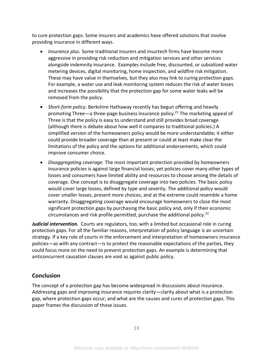to cure protection gaps. Some insurers and academics have offered solutions that involve providing insurance in different ways.

- *Insurance plus.* Some traditional insurers and insurtech firms have become more aggressive in providing risk reduction and mitigation services and other services alongside indemnity insurance. Examples include free, discounted, or subsidized water metering devices, digital monitoring, home inspection, and wildfire risk mitigation. These may have value in themselves, but they also may link to curing protection gaps. For example, a water use and leak monitoring system reduces the risk of water losses and increases the possibility that the protection gap for some water leaks will be removed from the policy.
- *Short-form policy.* Berkshire Hathaway recently has begun offering and heavily promoting Three—a three-page business insurance policy.<sup>21</sup> The marketing appeal of Three is that the policy is easy to understand and still provides broad coverage (although there is debate about how well it compares to traditional policies.) A simplified version of the homeowners policy would be more understandable; it either could provide broader coverage than at present or could at least make clear the limitations of the policy and the options for additional endorsements, which could improve consumer choice.
- *Disaggregating coverage.* The most important protection provided by homeowners insurance policies is against large financial losses, yet policies cover many other types of losses and consumers have limited ability and resources to choose among the details of coverage. One concept is to disaggregate coverage into two policies. The basic policy would cover large losses, defined by type and severity. The additional policy would cover smaller losses, present more choices, and at the extreme could resemble a home warranty. Disaggregating coverage would encourage homeowners to close the most significant protection gaps by purchasing the basic policy and, only if their economic circumstances and risk profile permitted, purchase the additional policy.<sup>22</sup>

*Judicial intervention.* Courts are regulators, too, with a limited but occasional role in curing protection gaps. For all the familiar reasons, interpretation of policy language is an uncertain strategy. If a key role of courts in the enforcement and interpretation of homeowners insurance policies—as with any contract—is to protect the reasonable expectations of the parties, they could focus more on the need to prevent protection gaps. An example is determining that anticoncurrent causation clauses are void as against public policy.

# **Conclusion**

The concept of a protection gap has become widespread in discussions about insurance. Addressing gaps and improving insurance requires clarity—clarity about what is a protection gap, where protection gaps occur, and what are the causes and cures of protection gaps. This paper frames the discussion of those issues.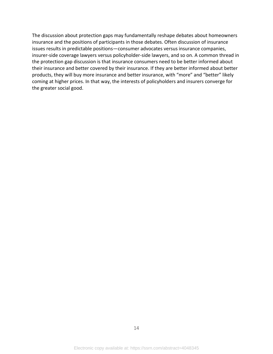The discussion about protection gaps may fundamentally reshape debates about homeowners insurance and the positions of participants in those debates. Often discussion of insurance issues results in predictable positions—consumer advocates versus insurance companies, insurer-side coverage lawyers versus policyholder-side lawyers, and so on. A common thread in the protection gap discussion is that insurance consumers need to be better informed about their insurance and better covered by their insurance. If they are better informed about better products, they will buy more insurance and better insurance, with "more" and "better" likely coming at higher prices. In that way, the interests of policyholders and insurers converge for the greater social good.